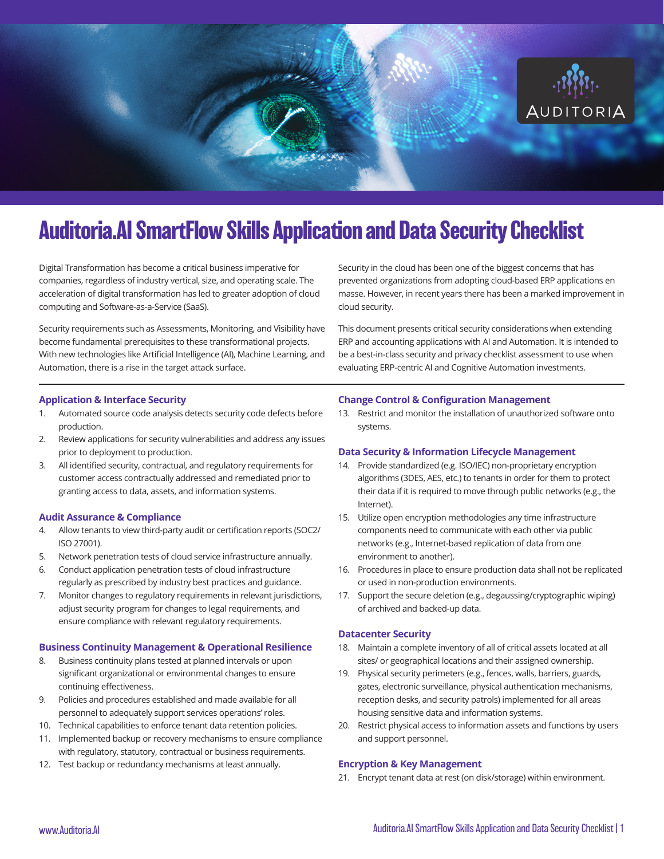

# **Auditoria.AI SmartFlow Skills Application and Data Security Checklist**

Digital Transformation has become a critical business imperative for companies, regardless of industry vertical, size, and operating scale. The acceleration of digital transformation has led to greater adoption of cloud computing and Software-as-a-Service (SaaS).

Security requirements such as Assessments, Monitoring, and Visibility have become fundamental prerequisites to these transformational projects. With new technologies like Artificial Intelligence (AI), Machine Learning, and Automation, there is a rise in the target attack surface.

Security in the cloud has been one of the biggest concerns that has prevented organizations from adopting cloud-based ERP applications en masse. However, in recent years there has been a marked improvement in cloud security.

This document presents critical security considerations when extending ERP and accounting applications with AI and Automation. It is intended to be a best-in-class security and privacy checklist assessment to use when evaluating ERP-centric AI and Cognitive Automation investments.

## **Application & Interface Security**

- 1. Automated source code analysis detects security code defects before production.
- 2. Review applications for security vulnerabilities and address any issues prior to deployment to production.
- 3. All identified security, contractual, and regulatory requirements for customer access contractually addressed and remediated prior to granting access to data, assets, and information systems.

## **Audit Assurance & Compliance**

- 4. Allow tenants to view third-party audit or certification reports (SOC2/ ISO 27001).
- 5. Network penetration tests of cloud service infrastructure annually.
- 6. Conduct application penetration tests of cloud infrastructure regularly as prescribed by industry best practices and guidance.
- 7. Monitor changes to regulatory requirements in relevant jurisdictions, adjust security program for changes to legal requirements, and ensure compliance with relevant regulatory requirements.

## **Business Continuity Management & Operational Resilience**

- 8. Business continuity plans tested at planned intervals or upon significant organizational or environmental changes to ensure continuing effectiveness.
- 9. Policies and procedures established and made available for all personnel to adequately support services operations' roles.
- 10. Technical capabilities to enforce tenant data retention policies.
- 11. Implemented backup or recovery mechanisms to ensure compliance with regulatory, statutory, contractual or business requirements.
- 12. Test backup or redundancy mechanisms at least annually.

#### **Change Control & Configuration Management**

13. Restrict and monitor the installation of unauthorized software onto systems.

#### **Data Security & Information Lifecycle Management**

- 14. Provide standardized (e.g. ISO/IEC) non-proprietary encryption algorithms (3DES, AES, etc.) to tenants in order for them to protect their data if it is required to move through public networks (e.g., the Internet).
- 15. Utilize open encryption methodologies any time infrastructure components need to communicate with each other via public networks (e.g., Internet-based replication of data from one environment to another).
- 16. Procedures in place to ensure production data shall not be replicated or used in non-production environments.
- 17. Support the secure deletion (e.g., degaussing/cryptographic wiping) of archived and backed-up data.

#### **Datacenter Security**

- 18. Maintain a complete inventory of all of critical assets located at all sites/ or geographical locations and their assigned ownership.
- 19. Physical security perimeters (e.g., fences, walls, barriers, guards, gates, electronic surveillance, physical authentication mechanisms, reception desks, and security patrols) implemented for all areas housing sensitive data and information systems.
- 20. Restrict physical access to information assets and functions by users and support personnel.

#### **Encryption & Key Management**

21. Encrypt tenant data at rest (on disk/storage) within environment.